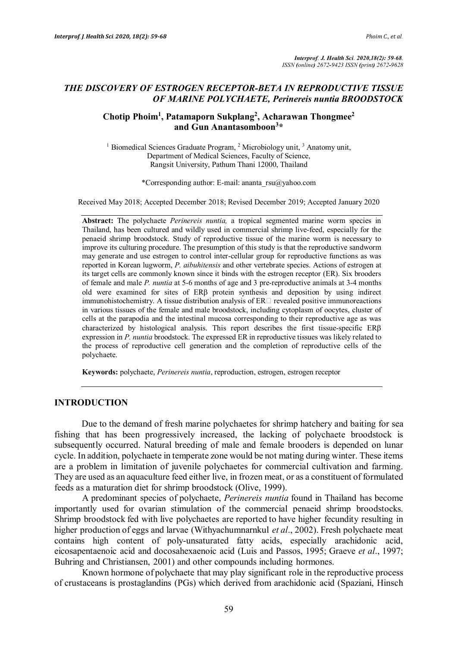*Interprof. J. Health Sci. 2020,18(2): 59-68. ISSN (online) 2672-9423 ISSN (print) 2672-9628*

## *THE DISCOVERY OF ESTROGEN RECEPTOR-BETA IN REPRODUCTIVE TISSUE OF MARINE POLYCHAETE, Perinereis nuntia BROODSTOCK*

# **Chotip Phoim1 , Patamaporn Sukplang2 , Acharawan Thongmee2 and Gun Anantasomboon<sup>3</sup> \***

<sup>1</sup> Biomedical Sciences Graduate Program,  $2$  Microbiology unit,  $3$  Anatomy unit, Department of Medical Sciences, Faculty of Science, Rangsit University, Pathum Thani 12000, Thailand

\*Corresponding author: E-mail: ananta\_rsu@yahoo.com

Received May 2018; Accepted December 2018; Revised December 2019; Accepted January 2020

**Abstract:** The polychaete *Perinereis nuntia,* a tropical segmented marine worm species in Thailand, has been cultured and wildly used in commercial shrimp live-feed, especially for the penaeid shrimp broodstock. Study of reproductive tissue of the marine worm is necessary to improve its culturing procedure. The presumption of this study is that the reproductive sandworm may generate and use estrogen to control inter-cellular group for reproductive functions as was reported in Korean lugworm, *P. aibuhitensis* and other vertebrate species. Actions of estrogen at its target cells are commonly known since it binds with the estrogen receptor (ER). Six brooders of female and male *P. nuntia* at 5-6 months of age and 3 pre-reproductive animals at 3-4 months old were examined for sites of ERβ protein synthesis and deposition by using indirect immunohistochemistry. A tissue distribution analysis of  $ER \Box$  revealed positive immunoreactions in various tissues of the female and male broodstock, including cytoplasm of oocytes, cluster of cells at the parapodia and the intestinal mucosa corresponding to their reproductive age as was characterized by histological analysis. This report describes the first tissue-specific ERβ expression in *P. nuntia* broodstock. The expressed ER in reproductive tissues was likely related to the process of reproductive cell generation and the completion of reproductive cells of the polychaete.

**Keywords:** polychaete, *Perinereis nuntia*, reproduction, estrogen, estrogen receptor

## **INTRODUCTION**

Due to the demand of fresh marine polychaetes for shrimp hatchery and baiting for sea fishing that has been progressively increased, the lacking of polychaete broodstock is subsequently occurred. Natural breeding of male and female brooders is depended on lunar cycle. In addition, polychaete in temperate zone would be not mating during winter. These items are a problem in limitation of juvenile polychaetes for commercial cultivation and farming. They are used as an aquaculture feed either live, in frozen meat, or as a constituent of formulated feeds as a maturation diet for shrimp broodstock (Olive, 1999).

A predominant species of polychaete, *Perinereis nuntia* found in Thailand has become importantly used for ovarian stimulation of the commercial penaeid shrimp broodstocks. Shrimp broodstock fed with live polychaetes are reported to have higher fecundity resulting in higher production of eggs and larvae (Withyachumnarnkul *et al*., 2002). Fresh polychaete meat contains high content of poly-unsaturated fatty acids, especially arachidonic acid, eicosapentaenoic acid and docosahexaenoic acid (Luis and Passos, 1995; Graeve *et al*., 1997; Buhring and Christiansen, 2001) and other compounds including hormones.

Known hormone of polychaete that may play significant role in the reproductive process of crustaceans is prostaglandins (PGs) which derived from arachidonic acid (Spaziani, Hinsch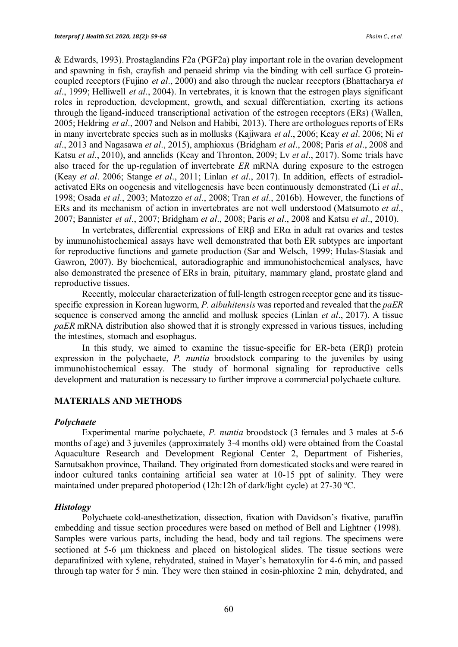& Edwards, 1993). Prostaglandins F2a (PGF2a) play important role in the ovarian development and spawning in fish, crayfish and penaeid shrimp via the binding with cell surface G proteincoupled receptors (Fujino *et al*., 2000) and also through the nuclear receptors (Bhattacharya *et al*., 1999; Helliwell *et al*., 2004). In vertebrates, it is known that the estrogen plays significant roles in reproduction, development, growth, and sexual differentiation, exerting its actions through the ligand-induced transcriptional activation of the estrogen receptors (ERs) (Wallen, 2005; Heldring *et al*., 2007 and Nelson and Habibi, 2013). There are orthologues reports of ERs in many invertebrate species such as in mollusks (Kajiwara *et al*., 2006; Keay *et al*. 2006; Ni *et al*., 2013 and Nagasawa *et al*., 2015), amphioxus (Bridgham *et al*., 2008; Paris *et al*., 2008 and Katsu *et al*., 2010), and annelids (Keay and Thronton, 2009; Lv *et al*., 2017). Some trials have also traced for the up-regulation of invertebrate *ER* mRNA during exposure to the estrogen (Keay *et al*. 2006; Stange *et al*., 2011; Linlan *et al*., 2017). In addition, effects of estradiolactivated ERs on oogenesis and vitellogenesis have been continuously demonstrated (Li *et al*., 1998; Osada *et al*., 2003; Matozzo *et al*., 2008; Tran *et al*., 2016b). However, the functions of ERs and its mechanism of action in invertebrates are not well understood (Matsumoto *et al*., 2007; Bannister *et al*., 2007; Bridgham *et al*., 2008; Paris *et al*., 2008 and Katsu *et al*., 2010).

In vertebrates, differential expressions of  $ER\beta$  and  $ER\alpha$  in adult rat ovaries and testes by immunohistochemical assays have well demonstrated that both ER subtypes are important for reproductive functions and gamete production (Sar and Welsch, 1999; Hulas-Stasiak and Gawron, 2007). By biochemical, autoradiographic and immunohistochemical analyses, have also demonstrated the presence of ERs in brain, pituitary, mammary gland, prostate gland and reproductive tissues.

Recently, molecular characterization of full-length estrogen receptor gene and its tissuespecific expression in Korean lugworm, *P. aibuhitensis* was reported and revealed that the *paER* sequence is conserved among the annelid and mollusk species (Linlan *et al*., 2017). A tissue *paER* mRNA distribution also showed that it is strongly expressed in various tissues, including the intestines, stomach and esophagus.

In this study, we aimed to examine the tissue-specific for ER-beta (ERβ) protein expression in the polychaete, *P. nuntia* broodstock comparing to the juveniles by using immunohistochemical essay. The study of hormonal signaling for reproductive cells development and maturation is necessary to further improve a commercial polychaete culture.

#### **MATERIALS AND METHODS**

#### *Polychaete*

Experimental marine polychaete, *P. nuntia* broodstock (3 females and 3 males at 5-6 months of age) and 3 juveniles (approximately 3-4 months old) were obtained from the Coastal Aquaculture Research and Development Regional Center 2, Department of Fisheries, Samutsakhon province, Thailand. They originated from domesticated stocks and were reared in indoor cultured tanks containing artificial sea water at 10-15 ppt of salinity. They were maintained under prepared photoperiod (12h:12h of dark/light cycle) at 27-30 °C.

#### *Histology*

Polychaete cold-anesthetization, dissection, fixation with Davidson's fixative, paraffin embedding and tissue section procedures were based on method of Bell and Lightner (1998). Samples were various parts, including the head, body and tail regions. The specimens were sectioned at 5-6 µm thickness and placed on histological slides. The tissue sections were deparafinized with xylene, rehydrated, stained in Mayer's hematoxylin for 4-6 min, and passed through tap water for 5 min. They were then stained in eosin-phloxine 2 min, dehydrated, and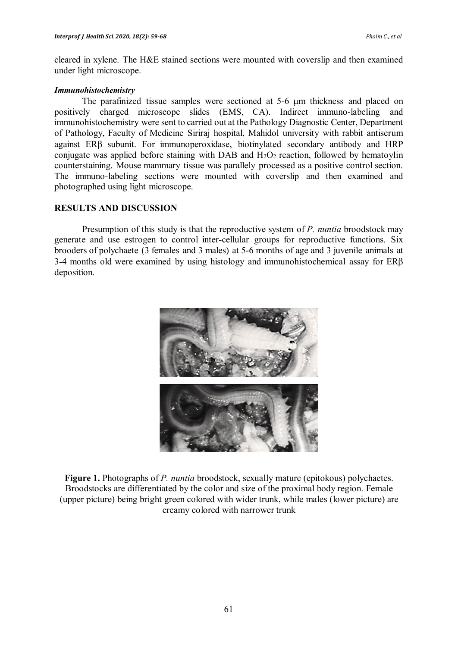cleared in xylene. The H&E stained sections were mounted with coverslip and then examined under light microscope.

#### *Immunohistochemistry*

The parafinized tissue samples were sectioned at 5-6 µm thickness and placed on positively charged microscope slides (EMS, CA). Indirect immuno-labeling and immunohistochemistry were sent to carried out at the Pathology Diagnostic Center, Department of Pathology, Faculty of Medicine Siriraj hospital, Mahidol university with rabbit antiserum against ERβ subunit. For immunoperoxidase, biotinylated secondary antibody and HRP conjugate was applied before staining with DAB and  $H_2O_2$  reaction, followed by hematoylin counterstaining. Mouse mammary tissue was parallely processed as a positive control section. The immuno-labeling sections were mounted with coverslip and then examined and photographed using light microscope.

### **RESULTS AND DISCUSSION**

Presumption of this study is that the reproductive system of *P. nuntia* broodstock may generate and use estrogen to control inter-cellular groups for reproductive functions. Six brooders of polychaete (3 females and 3 males) at 5-6 months of age and 3 juvenile animals at 3-4 months old were examined by using histology and immunohistochemical assay for ERβ deposition.



**Figure 1.** Photographs of *P. nuntia* broodstock, sexually mature (epitokous) polychaetes. Broodstocks are differentiated by the color and size of the proximal body region. Female (upper picture) being bright green colored with wider trunk, while males (lower picture) are creamy colored with narrower trunk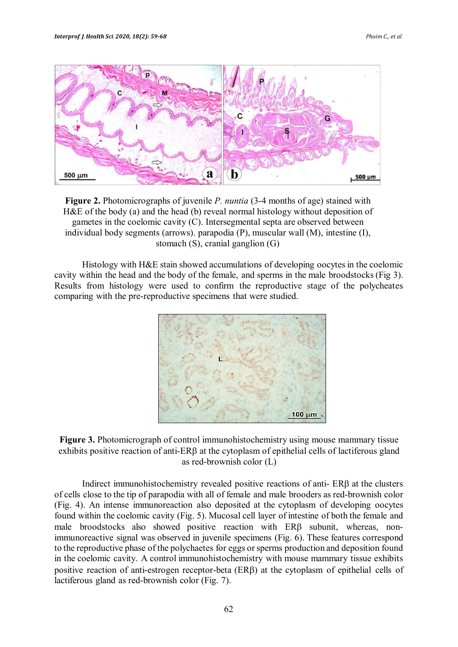

**Figure 2.** Photomicrographs of juvenile *P. nuntia* (3-4 months of age) stained with H&E of the body (a) and the head (b) reveal normal histology without deposition of gametes in the coelomic cavity (C). Intersegmental septa are observed between individual body segments (arrows). parapodia (P), muscular wall (M), intestine (I), stomach (S), cranial ganglion (G)

Histology with H&E stain showed accumulations of developing oocytes in the coelomic cavity within the head and the body of the female, and sperms in the male broodstocks (Fig 3). Results from histology were used to confirm the reproductive stage of the polycheates comparing with the pre-reproductive specimens that were studied.





Indirect immunohistochemistry revealed positive reactions of anti- ERβ at the clusters of cells close to the tip of parapodia with all of female and male brooders as red-brownish color (Fig. 4). An intense immunoreaction also deposited at the cytoplasm of developing oocytes found within the coelomic cavity (Fig. 5). Mucosal cell layer of intestine of both the female and male broodstocks also showed positive reaction with ERβ subunit, whereas, nonimmunoreactive signal was observed in juvenile specimens (Fig. 6). These features correspond to the reproductive phase of the polychaetes for eggs or sperms production and deposition found in the coelomic cavity. A control immunohistochemistry with mouse mammary tissue exhibits positive reaction of anti-estrogen receptor-beta (ERβ) at the cytoplasm of epithelial cells of lactiferous gland as red-brownish color (Fig. 7).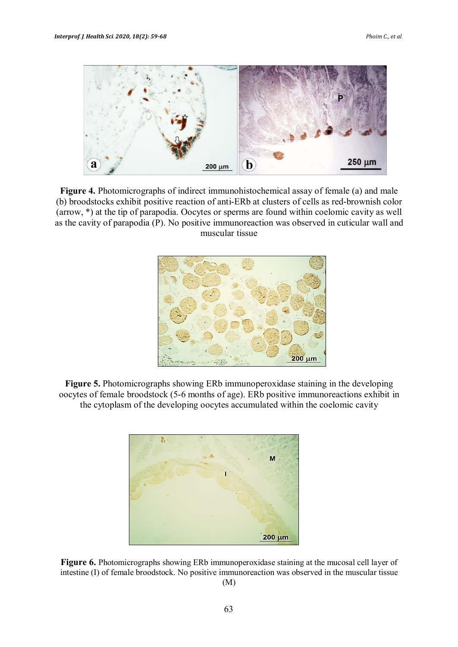

**Figure 4.** Photomicrographs of indirect immunohistochemical assay of female (a) and male (b) broodstocks exhibit positive reaction of anti-ERb at clusters of cells as red-brownish color (arrow, \*) at the tip of parapodia. Oocytes or sperms are found within coelomic cavity as well as the cavity of parapodia (P). No positive immunoreaction was observed in cuticular wall and muscular tissue



**Figure 5.** Photomicrographs showing ERb immunoperoxidase staining in the developing oocytes of female broodstock (5-6 months of age). ERb positive immunoreactions exhibit in the cytoplasm of the developing oocytes accumulated within the coelomic cavity



**Figure 6.** Photomicrographs showing ERb immunoperoxidase staining at the mucosal cell layer of intestine (I) of female broodstock. No positive immunoreaction was observed in the muscular tissue (M)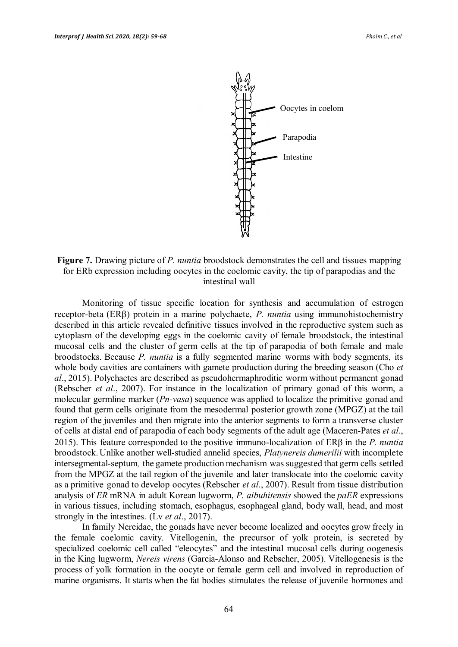

**Figure 7.** Drawing picture of *P. nuntia* broodstock demonstrates the cell and tissues mapping for ERb expression including oocytes in the coelomic cavity, the tip of parapodias and the intestinal wall

Monitoring of tissue specific location for synthesis and accumulation of estrogen receptor-beta (ERβ) protein in a marine polychaete, *P. nuntia* using immunohistochemistry described in this article revealed definitive tissues involved in the reproductive system such as cytoplasm of the developing eggs in the coelomic cavity of female broodstock, the intestinal mucosal cells and the cluster of germ cells at the tip of parapodia of both female and male broodstocks. Because *P. nuntia* is a fully segmented marine worms with body segments, its whole body cavities are containers with gamete production during the breeding season (Cho *et al*., 2015). Polychaetes are described as pseudohermaphroditic worm without permanent gonad (Rebscher *et al*., 2007). For instance in the localization of primary gonad of this worm, a molecular germline marker (*Pn-vasa*) sequence was applied to localize the primitive gonad and found that germ cells originate from the mesodermal posterior growth zone (MPGZ) at the tail region of the juveniles and then migrate into the anterior segments to form a transverse cluster of cells at distal end of parapodia of each body segments of the adult age (Maceren-Pates *et al*., 2015). This feature corresponded to the positive immuno-localization of ERβ in the *P. nuntia* broodstock. Unlike another well-studied annelid species, *Platynereis dumerilii* with incomplete intersegmental-septum*,* the gamete production mechanism was suggested that germ cells settled from the MPGZ at the tail region of the juvenile and later translocate into the coelomic cavity as a primitive gonad to develop oocytes (Rebscher *et al*., 2007). Result from tissue distribution analysis of *ER* mRNA in adult Korean lugworm, *P. aibuhitensis* showed the *paER* expressions in various tissues, including stomach, esophagus, esophageal gland, body wall, head, and most strongly in the intestines. (Lv *et al*., 2017).

In family Nereidae, the gonads have never become localized and oocytes grow freely in the female coelomic cavity. Vitellogenin, the precursor of yolk protein, is secreted by specialized coelomic cell called "eleocytes" and the intestinal mucosal cells during oogenesis in the King lugworm, *Nereis virens* (Garcia-Alonso and Rebscher, 2005). Vitellogenesis is the process of yolk formation in the oocyte or female germ cell and involved in reproduction of marine organisms. It starts when the fat bodies stimulates the release of juvenile hormones and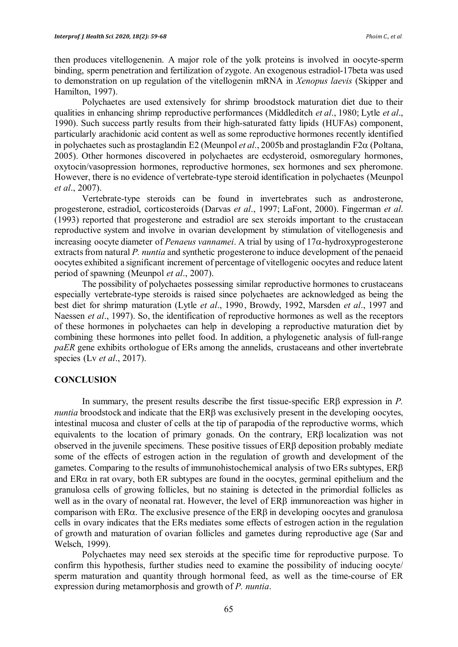then produces vitellogenenin. A major role of the yolk proteins is involved in oocyte-sperm binding, sperm penetration and fertilization of zygote. An exogenous estradiol-17beta was used to demonstration on up regulation of the vitellogenin mRNA in *Xenopus laevis* (Skipper and Hamilton, 1997).

Polychaetes are used extensively for shrimp broodstock maturation diet due to their qualities in enhancing shrimp reproductive performances (Middleditch *et al*., 1980; Lytle *et al*., 1990). Such success partly results from their high-saturated fatty lipids (HUFAs) component, particularly arachidonic acid content as well as some reproductive hormones recently identified in polychaetes such as prostaglandin E2 (Meunpol *et al*., 2005b and prostaglandin F2α (Poltana, 2005). Other hormones discovered in polychaetes are ecdysteroid, osmoregulary hormones, oxytocin/vasopression hormones, reproductive hormones, sex hormones and sex pheromone. However, there is no evidence of vertebrate-type steroid identification in polychaetes (Meunpol *et al*., 2007).

Vertebrate-type steroids can be found in invertebrates such as androsterone, progesterone, estradiol, corticosteroids (Darvas *et al*., 1997; LaFont, 2000). Fingerman *et al*. (1993) reported that progesterone and estradiol are sex steroids important to the crustacean reproductive system and involve in ovarian development by stimulation of vitellogenesis and increasing oocyte diameter of *Penaeus vannamei*. A trial by using of 17α-hydroxyprogesterone extracts from natural *P. nuntia* and synthetic progesterone to induce development of the penaeid oocytes exhibited a significant increment of percentage of vitellogenic oocytes and reduce latent period of spawning (Meunpol *et al*., 2007).

The possibility of polychaetes possessing similar reproductive hormones to crustaceans especially vertebrate-type steroids is raised since polychaetes are acknowledged as being the best diet for shrimp maturation (Lytle *et al*., 1990 , Browdy, 1992, Marsden *et al*., 1997 and Naessen *et al*., 1997). So, the identification of reproductive hormones as well as the receptors of these hormones in polychaetes can help in developing a reproductive maturation diet by combining these hormones into pellet food. In addition, a phylogenetic analysis of full-range *paER* gene exhibits orthologue of ERs among the annelids, crustaceans and other invertebrate species (Lv *et al*., 2017).

### **CONCLUSION**

In summary, the present results describe the first tissue-specific ERβ expression in *P. nuntia* broodstock and indicate that the ERβ was exclusively present in the developing oocytes, intestinal mucosa and cluster of cells at the tip of parapodia of the reproductive worms, which equivalents to the location of primary gonads. On the contrary, ERβ localization was not observed in the juvenile specimens. These positive tissues of ERβ deposition probably mediate some of the effects of estrogen action in the regulation of growth and development of the gametes. Comparing to the results of immunohistochemical analysis of two ERs subtypes, ERβ and  $ER\alpha$  in rat ovary, both  $ER$  subtypes are found in the oocytes, germinal epithelium and the granulosa cells of growing follicles, but no staining is detected in the primordial follicles as well as in the ovary of neonatal rat. However, the level of ERβ immunoreaction was higher in comparison with ER $\alpha$ . The exclusive presence of the ER $\beta$  in developing oocytes and granulosa cells in ovary indicates that the ERs mediates some effects of estrogen action in the regulation of growth and maturation of ovarian follicles and gametes during reproductive age (Sar and Welsch, 1999).

Polychaetes may need sex steroids at the specific time for reproductive purpose. To confirm this hypothesis, further studies need to examine the possibility of inducing oocyte/ sperm maturation and quantity through hormonal feed, as well as the time-course of ER expression during metamorphosis and growth of *P. nuntia*.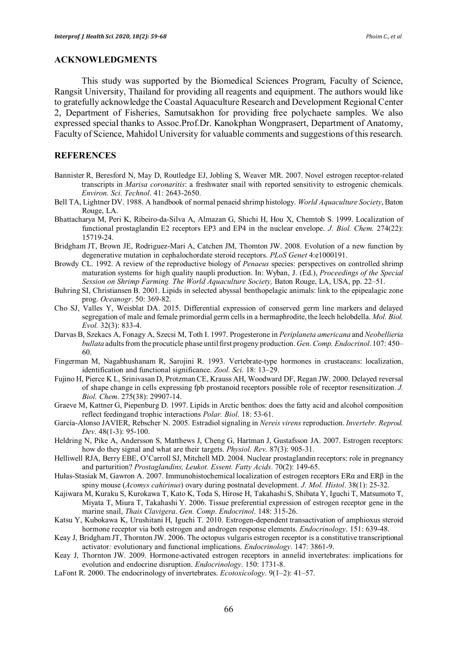### **ACKNOWLEDGMENTS**

This study was supported by the Biomedical Sciences Program, Faculty of Science, Rangsit University, Thailand for providing all reagents and equipment. The authors would like to gratefully acknowledge the Coastal Aquaculture Research and Development Regional Center 2, Department of Fisheries, Samutsakhon for providing free polychaete samples. We also expressed special thanks to Assoc.Prof.Dr. Kanokphan Wongprasert, Department of Anatomy, Faculty of Science, Mahidol University for valuable comments and suggestions of this research.

### **REFERENCES**

- Bannister R, Beresford N, May D, Routledge EJ, Jobling S, Weaver MR. 2007. Novel estrogen receptor-related transcripts in *Marisa coronaritis*: a freshwater snail with reported sensitivity to estrogenic chemicals. *Environ. Sci. Technol*. 41: 2643-2650.
- Bell TA, Lightner DV. 1988. A handbook of normal penaeid shrimp histology. *World Aquaculture Society*, Baton Rouge, LA.
- Bhattacharya M, Peri K, Ribeiro-da-Silva A, Almazan G, Shichi H, Hou X, Chemtob S. 1999. Localization of functional prostaglandin E2 receptors EP3 and EP4 in the nuclear envelope. *J. Biol. Chem.* 274(22): 15719-24.
- Bridgham JT, Brown JE, Rodriguez-Mari A, Catchen JM, Thomton JW. 2008. Evolution of a new function by degenerative mutation in cephalochordate steroid receptors. *PLoS Genet* 4:e1000191.
- Browdy CL. 1992. A review of the reproductive biology of *Penaeus* species: perspectives on controlled shrimp maturation systems for high quality naupli production. In: Wyban, J. (Ed.), *Proceedings of the Special Session on Shrimp Farming. The World Aquaculture Society,* Baton Rouge, LA, USA, pp. 22–51.
- Buhring SI, Christiansen B. 2001. Lipids in selected abyssal benthopelagic animals: link to the epipealagic zone prog. *Oceanogr*. 50: 369-82.
- Cho SJ, Valles Y, Weisblat DA. 2015. Differential expression of conserved germ line markers and delayed segregation of male and female primordial germ cells in a hermaphrodite, the leech helobdella. *Mol. Biol. Evol.* 32(3): 833-4.
- Darvas B, Szekacs A, Fonagy A, Szecsi M, Toth I. 1997. Progesterone in *Periplaneta americana* and *Neobellieria bullata* adults from the procuticle phase until first progeny production. *Gen. Comp. Endocrinol*. 107: 450– 60.
- Fingerman M, Nagabhushanam R, Sarojini R. 1993. Vertebrate-type hormones in crustaceans: localization, identification and functional significance. *Zool. Sci.* 18: 13–29.
- Fujino H, Pierce K L, Srinivasan D, Protzman CE, Krauss AH, Woodward DF, Regan JW. 2000. Delayed reversal of shape change in cells expressing fpb prostanoid receptors possible role of receptor resensitization. *J. Biol. Chem*. 275(38): 29907-14.
- Graeve M, Kattner G, Piepenburg D. 1997. Lipids in Arctic benthos: does the fatty acid and alcohol composition reflect feedingand trophic interactions *Polar. Biol*. 18: 53-61.
- García-Alonso JAVIER, Rebscher N. 2005. Estradiol signaling in *Nereis virens* reproduction. *Invertebr. Reprod. Dev*. 48(1-3): 95-100.
- Heldring N, Pike A, Andersson S, Matthews J, Cheng G, Hartman J, Gustafsson JA. 2007. Estrogen receptors: how do they signal and what are their targets. *Physiol. Rev.* 87(3): 905-31.
- Helliwell RJA, Berry EBE, O'Carroll SJ, Mitchell MD. 2004. Nuclear prostaglandin receptors: role in pregnancy and parturition? *Prostaglandins, Leukot. Essent. Fatty Acids*. 70(2): 149-65.
- Hułas-Stasiak M, Gawron A. 2007. Immunohistochemical localization of estrogen receptors ERα and ERβ in the spiny mouse (*Acomys cahirinus*) ovary during postnatal development. *J. Mol. Histol*. 38(1): 25-32.
- Kajiwara M, Kuraku S, Kurokawa T, Kato K, Toda S, Hirose H, Takahashi S, Shibata Y, Iguchi T, Matsumoto T, Miyata T, Miura T, Takahashi Y. 2006. Tissue preferential expression of estrogen receptor gene in the marine snail, *Thais Clavigera*. *Gen. Comp*. *Endocrinol*. 148: 315-26.
- Katsu Y, Kubokawa K, Urushitani H, Iguchi T. 2010. Estrogen-dependent transactivation of amphioxus steroid hormone receptor via both estrogen and androgen response elements. *Endocrinology*. 151: 639-48.
- Keay J, Bridgham JT, Thornton JW. 2006. The octopus vulgaris estrogen receptor is a constitutive transcriptional activator*:* evolutionary and functional implications. *Endocrinology*. 147: 3861-9.
- Keay J, Thornton JW. 2009. Hormone-activated estrogen receptors in annelid invertebrates: implications for evolution and endocrine disruption. *Endocrinology*. 150: 1731-8.
- LaFont R. 2000. The endocrinology of invertebrates. *Ecotoxicology*. 9(1–2): 41–57.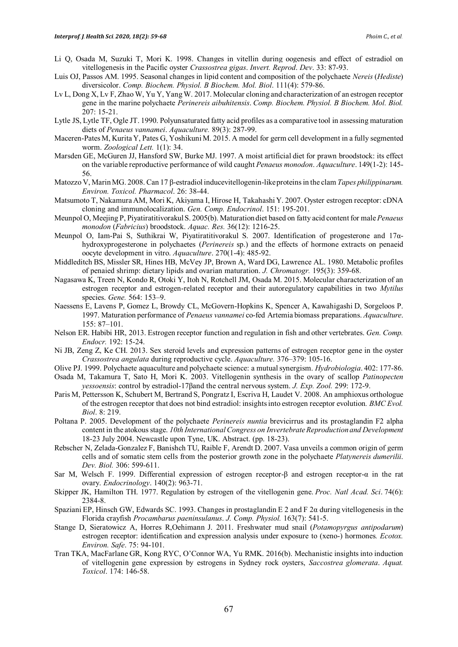- Li Q, Osada M, Suzuki T, Mori K. 1998. Changes in vitellin during oogenesis and effect of estradiol on vitellogenesis in the Pacific oyster *Crassostrea gigas*. *Invert. Reprod*. *Dev*. 33: 87-93.
- Luis OJ, Passos AM. 1995. Seasonal changes in lipid content and composition of the polychaete *Nereis* (*Hediste*) diversicolor. *Comp. Biochem. Physiol. B Biochem. Mol. Biol*. 111(4): 579-86.
- Lv L, Dong X, Lv F, Zhao W, Yu Y, Yang W. 2017. Molecular cloning and characterization of an estrogen receptor gene in the marine polychaete *Perinereis aibuhitensis*. *Comp. Biochem. Physiol. B Biochem. Mol. Biol.* 207: 15-21.
- Lytle JS, Lytle TF, Ogle JT. 1990. Polyunsaturated fatty acid profiles as a comparative tool in assessing maturation diets of *Penaeus vannamei*. *Aquaculture.* 89(3): 287-99.
- Maceren-Pates M, Kurita Y, Pates G, Yoshikuni M. 2015. A model for germ cell development in a fully segmented worm. *Zoological Lett.* 1(1): 34.
- Marsden GE, McGuren JJ, Hansford SW, Burke MJ. 1997. A moist artificial diet for prawn broodstock: its effect on the variable reproductive performance of wild caught *Penaeus monodon*. *Aquaculture*. 149(1-2): 145- 56.
- Matozzo V, Marin MG. 2008. Can 17 β-estradiol inducevitellogenin-like proteins in the clam *Tapes philippinarum. Environ. Toxicol. Pharmacol*. 26: 38-44.
- Matsumoto T, Nakamura AM, Mori K, Akiyama I, Hirose H, Takahashi Y. 2007. Oyster estrogen receptor: cDNA cloning and immunolocalization. *Gen. Comp. Endocrinol*. 151: 195-201.
- Meunpol O, Meejing P, Piyatiratitivorakul S. 2005(b). Maturation diet based on fatty acid content for male *Penaeus monodon* (*Fabricius*) broodstock. *Aquac. Res.* 36(12): 1216-25.
- Meunpol O, Iam-Pai S, Suthikrai W, Piyatiratitivorakul S. 2007. Identification of progesterone and 17αhydroxyprogesterone in polychaetes (*Perinereis* sp.) and the effects of hormone extracts on penaeid oocyte development in vitro. *Aquaculture*. 270(1-4): 485-92.
- Middleditch BS, Missler SR, Hines HB, McVey JP, Brown A, Ward DG, Lawrence AL. 1980. Metabolic profiles of penaied shrimp: dietary lipids and ovarian maturation. *J. Chromatogr.* 195(3): 359-68.
- Nagasawa K, Treen N, Kondo R, Otoki Y, Itoh N, Rotchell JM, Osada M. 2015. Molecular characterization of an estrogen receptor and estrogen-related receptor and their autoregulatory capabilities in two *Mytilus* species. *Gene.* 564: 153–9.
- Naessens E, Lavens P, Gomez L, Browdy CL, McGovern-Hopkins K, Spencer A, Kawahigashi D, Sorgeloos P. 1997. Maturation performance of *Penaeus vannamei* co-fed Artemia biomass preparations. *Aquaculture*. 155: 87–101.
- Nelson ER. Habibi HR, 2013. Estrogen receptor function and regulation in fish and other vertebrates. *Gen. Comp. Endocr.* 192: 15-24.
- Ni JB, Zeng Z, Ke CH. 2013. Sex steroid levels and expression patterns of estrogen receptor gene in the oyster *Crassostrea angulata* during reproductive cycle. *Aquaculture.* 376–379: 105-16.
- Olive PJ. 1999. Polychaete aquaculture and polychaete science: a mutual synergism. *Hydrobiologia*. 402: 177-86.
- Osada M, Takamura T, Sato H, Mori K. 2003. Vitellogenin synthesis in the ovary of scallop *Patinopecten yessoensis*: control by estradiol-17βand the central nervous system. *J. Exp. Zool.* 299: 172-9.
- Paris M, Pettersson K, Schubert M, Bertrand S, Pongratz I, Escriva H, Laudet V. 2008. An amphioxus orthologue of the estrogen receptor that does not bind estradiol: insights into estrogen receptor evolution*. BMC Evol. Biol*. 8: 219.
- Poltana P. 2005. Development of the polychaete *Perinereis nuntia* brevicirrus and its prostaglandin F2 alpha content in the atokous stage. *10th International Congress on Invertebrate Reproduction and Development* 18-23 July 2004. Newcastle upon Tyne, UK. Abstract. (pp. 18-23).
- Rebscher N, Zelada-Gonzalez F, Banishch TU, Raible F, Arendt D. 2007. Vasa unveils a common origin of germ cells and of somatic stem cells from the posterior growth zone in the polychaete *Platynereis dumerilii*. *Dev. Biol.* 306: 599-611.
- Sar M, Welsch F. 1999. Differential expression of estrogen receptor-β and estrogen receptor-α in the rat ovary. *Endocrinology*. 140(2): 963-71.
- Skipper JK, Hamilton TH. 1977. Regulation by estrogen of the vitellogenin gene. *Proc. Natl Acad. Sci*. 74(6): 2384-8.
- Spaziani EP, Hinsch GW, Edwards SC. 1993. Changes in prostaglandin E 2 and F 2α during vitellogenesis in the Florida crayfish *Procambarus paeninsulanus*. *J. Comp. Physiol.* 163(7): 541-5.
- Stange D, Sieratowicz A, Horres R,Oehimann J. 2011. Freshwater mud snail (*Potamopyrgus antipodarum*) estrogen receptor: identification and expression analysis under exposure to (xeno-) hormones*. Ecotox. Environ. Safe*. 75: 94-101.
- Tran TKA, MacFarlane GR, Kong RYC, O'Connor WA, Yu RMK. 2016(b). Mechanistic insights into induction of vitellogenin gene expression by estrogens in Sydney rock oysters, *Saccostrea glomerata*. *Aquat. Toxicol*. 174: 146-58.